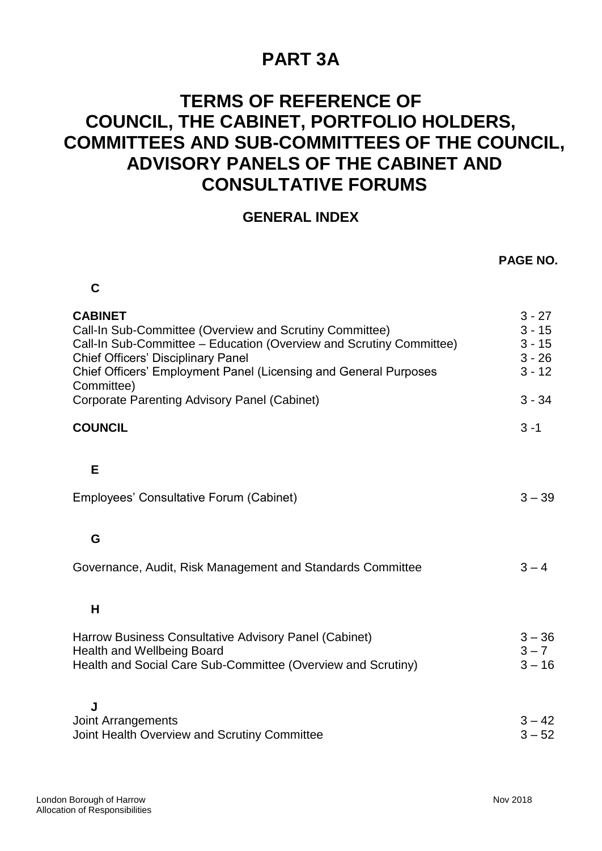## **PART 3A**

## **TERMS OF REFERENCE OF COUNCIL, THE CABINET, PORTFOLIO HOLDERS, COMMITTEES AND SUB-COMMITTEES OF THE COUNCIL, ADVISORY PANELS OF THE CABINET AND CONSULTATIVE FORUMS**

## **GENERAL INDEX**

|                                                                                                                                                                                                                                                                                 | <b>PAGE NO.</b>                                          |
|---------------------------------------------------------------------------------------------------------------------------------------------------------------------------------------------------------------------------------------------------------------------------------|----------------------------------------------------------|
| C                                                                                                                                                                                                                                                                               |                                                          |
| <b>CABINET</b><br>Call-In Sub-Committee (Overview and Scrutiny Committee)<br>Call-In Sub-Committee - Education (Overview and Scrutiny Committee)<br><b>Chief Officers' Disciplinary Panel</b><br>Chief Officers' Employment Panel (Licensing and General Purposes<br>Committee) | $3 - 27$<br>$3 - 15$<br>$3 - 15$<br>$3 - 26$<br>$3 - 12$ |
| Corporate Parenting Advisory Panel (Cabinet)                                                                                                                                                                                                                                    | $3 - 34$                                                 |
| <b>COUNCIL</b>                                                                                                                                                                                                                                                                  | $3 - 1$                                                  |
| E                                                                                                                                                                                                                                                                               |                                                          |
| Employees' Consultative Forum (Cabinet)                                                                                                                                                                                                                                         | $3 - 39$                                                 |
| G                                                                                                                                                                                                                                                                               |                                                          |
| Governance, Audit, Risk Management and Standards Committee                                                                                                                                                                                                                      | $3 - 4$                                                  |
| H                                                                                                                                                                                                                                                                               |                                                          |
| Harrow Business Consultative Advisory Panel (Cabinet)<br><b>Health and Wellbeing Board</b><br>Health and Social Care Sub-Committee (Overview and Scrutiny)                                                                                                                      | $3 - 36$<br>$3 - 7$<br>$3 - 16$                          |
| J<br><b>Joint Arrangements</b><br>Joint Health Overview and Scrutiny Committee                                                                                                                                                                                                  | $3 - 42$<br>$3 - 52$                                     |